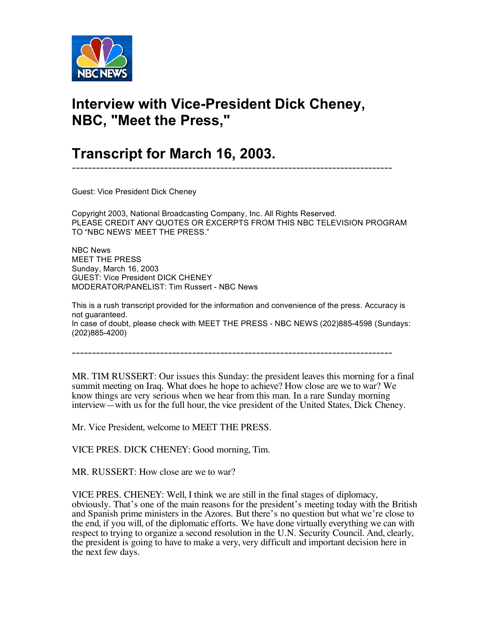

## **Interview with Vice-President Dick Cheney, NBC, "Meet the Press,"**

## **Transcript for March 16, 2003.**

Guest: Vice President Dick Cheney

Copyright 2003, National Broadcasting Company, Inc. All Rights Reserved. PLEASE CREDIT ANY QUOTES OR EXCERPTS FROM THIS NBC TELEVISION PROGRAM TO "NBC NEWS' MEET THE PRESS."

--------------------------------------------------------------------------------

NBC News MEET THE PRESS Sunday, March 16, 2003 GUEST: Vice President DICK CHENEY MODERATOR/PANELIST: Tim Russert - NBC News

This is a rush transcript provided for the information and convenience of the press. Accuracy is not guaranteed. In case of doubt, please check with MEET THE PRESS - NBC NEWS (202)885-4598 (Sundays: (202)885-4200)

--------------------------------------------------------------------------------

MR. TIM RUSSERT: Our issues this Sunday: the president leaves this morning for a final summit meeting on Iraq. What does he hope to achieve? How close are we to war? We know things are very serious when we hear from this man. In a rare Sunday morning interview—with us for the full hour, the vice president of the United States, Dick Cheney.

Mr. Vice President, welcome to MEET THE PRESS.

VICE PRES. DICK CHENEY: Good morning, Tim.

MR. RUSSERT: How close are we to war?

VICE PRES. CHENEY: Well, I think we are still in the final stages of diplomacy, obviously. That's one of the main reasons for the president's meeting today with the British and Spanish prime ministers in the Azores. But there's no question but what we're close to the end, if you will, of the diplomatic efforts. We have done virtually everything we can with respect to trying to organize a second resolution in the U.N. Security Council. And, clearly, the president is going to have to make a very, very difficult and important decision here in the next few days.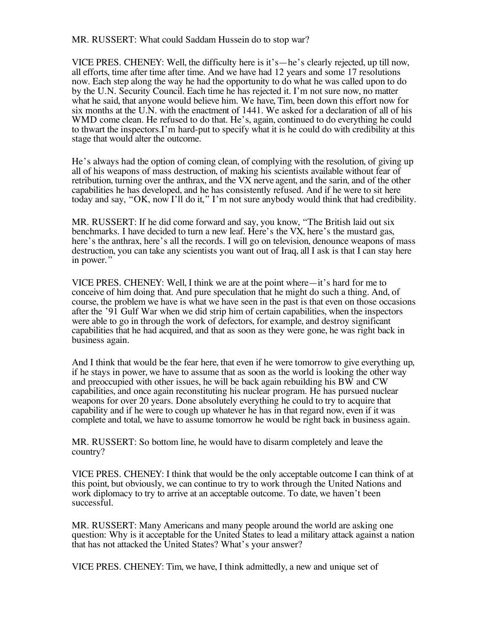MR. RUSSERT: What could Saddam Hussein do to stop war?

VICE PRES. CHENEY: Well, the difficulty here is it's—he's clearly rejected, up till now, all efforts, time after time after time. And we have had 12 years and some 17 resolutions now. Each step along the way he had the opportunity to do what he was called upon to do by the U.N. Security Council. Each time he has rejected it. I'm not sure now, no matter what he said, that anyone would believe him. We have, Tim, been down this effort now for six months at the U.N. with the enactment of 1441. We asked for a declaration of all of his WMD come clean. He refused to do that. He's, again, continued to do everything he could to thwart the inspectors.I'm hard-put to specify what it is he could do with credibility at this stage that would alter the outcome.

He's always had the option of coming clean, of complying with the resolution, of giving up all of his weapons of mass destruction, of making his scientists available without fear of retribution, turning over the anthrax, and the VX nerve agent, and the sarin, and of the other capabilities he has developed, and he has consistently refused. And if he were to sit here today and say, "OK, now I'll do it," I'm not sure anybody would think that had credibility.

MR. RUSSERT: If he did come forward and say, you know, "The British laid out six benchmarks. I have decided to turn a new leaf. Here's the VX, here's the mustard gas, here's the anthrax, here's all the records. I will go on television, denounce weapons of mass destruction, you can take any scientists you want out of Iraq, all I ask is that I can stay here in power."

VICE PRES. CHENEY: Well, I think we are at the point where—it's hard for me to conceive of him doing that. And pure speculation that he might do such a thing. And, of course, the problem we have is what we have seen in the past is that even on those occasions after the '91 Gulf War when we did strip him of certain capabilities, when the inspectors were able to go in through the work of defectors, for example, and destroy significant capabilities that he had acquired, and that as soon as they were gone, he was right back in business again.

And I think that would be the fear here, that even if he were tomorrow to give everything up, if he stays in power, we have to assume that as soon as the world is looking the other way and preoccupied with other issues, he will be back again rebuilding his BW and CW capabilities, and once again reconstituting his nuclear program. He has pursued nuclear weapons for over 20 years. Done absolutely everything he could to try to acquire that capability and if he were to cough up whatever he has in that regard now, even if it was complete and total, we have to assume tomorrow he would be right back in business again.

MR. RUSSERT: So bottom line, he would have to disarm completely and leave the country?

VICE PRES. CHENEY: I think that would be the only acceptable outcome I can think of at this point, but obviously, we can continue to try to work through the United Nations and work diplomacy to try to arrive at an acceptable outcome. To date, we haven't been successful.

MR. RUSSERT: Many Americans and many people around the world are asking one question: Why is it acceptable for the United States to lead a military attack against a nation that has not attacked the United States? What's your answer?

VICE PRES. CHENEY: Tim, we have, I think admittedly, a new and unique set of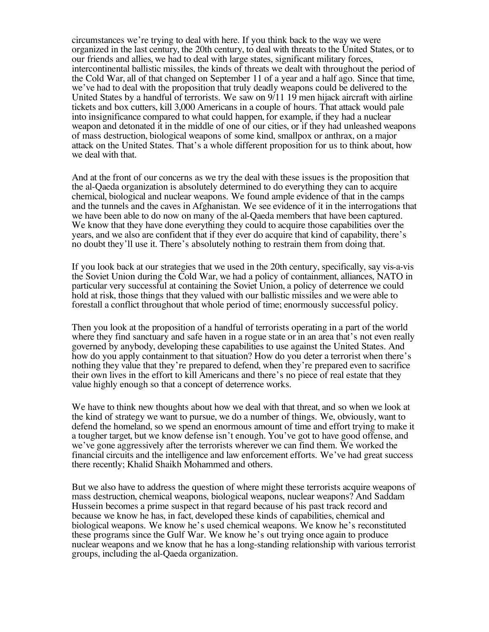circumstances we're trying to deal with here. If you think back to the way we were organized in the last century, the 20th century, to deal with threats to the United States, or to our friends and allies, we had to deal with large states, significant military forces, intercontinental ballistic missiles, the kinds of threats we dealt with throughout the period of the Cold War, all of that changed on September 11 of a year and a half ago. Since that time, we've had to deal with the proposition that truly deadly weapons could be delivered to the United States by a handful of terrorists. We saw on 9/11 19 men hijack aircraft with airline tickets and box cutters, kill 3,000 Americans in a couple of hours. That attack would pale into insignificance compared to what could happen, for example, if they had a nuclear weapon and detonated it in the middle of one of our cities, or if they had unleashed weapons of mass destruction, biological weapons of some kind, smallpox or anthrax, on a major attack on the United States. That's a whole different proposition for us to think about, how we deal with that.

And at the front of our concerns as we try the deal with these issues is the proposition that the al-Qaeda organization is absolutely determined to do everything they can to acquire chemical, biological and nuclear weapons. We found ample evidence of that in the camps and the tunnels and the caves in Afghanistan. We see evidence of it in the interrogations that we have been able to do now on many of the al-Qaeda members that have been captured. We know that they have done everything they could to acquire those capabilities over the years, and we also are confident that if they ever do acquire that kind of capability, there's no doubt they'll use it. There's absolutely nothing to restrain them from doing that.

If you look back at our strategies that we used in the 20th century, specifically, say vis-a-vis the Soviet Union during the Cold War, we had a policy of containment, alliances, NATO in particular very successful at containing the Soviet Union, a policy of deterrence we could hold at risk, those things that they valued with our ballistic missiles and we were able to forestall a conflict throughout that whole period of time; enormously successful policy.

Then you look at the proposition of a handful of terrorists operating in a part of the world where they find sanctuary and safe haven in a rogue state or in an area that's not even really governed by anybody, developing these capabilities to use against the United States. And how do you apply containment to that situation? How do you deter a terrorist when there's nothing they value that they're prepared to defend, when they're prepared even to sacrifice their own lives in the effort to kill Americans and there's no piece of real estate that they value highly enough so that a concept of deterrence works.

We have to think new thoughts about how we deal with that threat, and so when we look at the kind of strategy we want to pursue, we do a number of things. We, obviously, want to defend the homeland, so we spend an enormous amount of time and effort trying to make it a tougher target, but we know defense isn't enough. You've got to have good offense, and we've gone aggressively after the terrorists wherever we can find them. We worked the financial circuits and the intelligence and law enforcement efforts. We've had great success there recently; Khalid Shaikh Mohammed and others.

But we also have to address the question of where might these terrorists acquire weapons of mass destruction, chemical weapons, biological weapons, nuclear weapons? And Saddam Hussein becomes a prime suspect in that regard because of his past track record and because we know he has, in fact, developed these kinds of capabilities, chemical and biological weapons. We know he's used chemical weapons. We know he's reconstituted these programs since the Gulf War. We know he's out trying once again to produce nuclear weapons and we know that he has a long-standing relationship with various terrorist groups, including the al-Qaeda organization.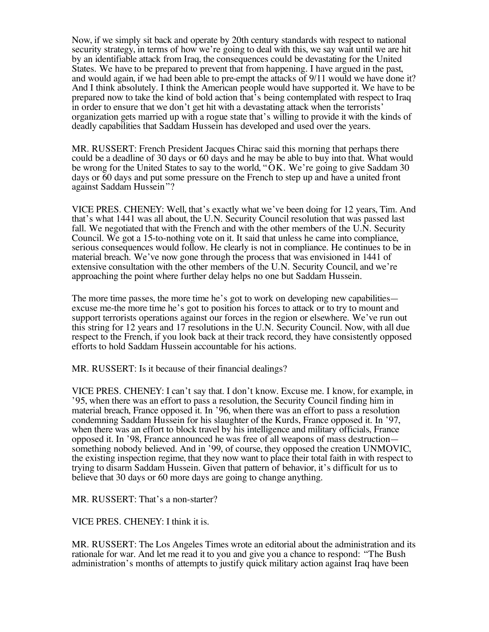Now, if we simply sit back and operate by 20th century standards with respect to national security strategy, in terms of how we're going to deal with this, we say wait until we are hit by an identifiable attack from Iraq, the consequences could be devastating for the United States. We have to be prepared to prevent that from happening. I have argued in the past, and would again, if we had been able to pre-empt the attacks of 9/11 would we have done it? And I think absolutely. I think the American people would have supported it. We have to be prepared now to take the kind of bold action that's being contemplated with respect to Iraq in order to ensure that we don't get hit with a devastating attack when the terrorists' organization gets married up with a rogue state that's willing to provide it with the kinds of deadly capabilities that Saddam Hussein has developed and used over the years.

MR. RUSSERT: French President Jacques Chirac said this morning that perhaps there could be a deadline of 30 days or 60 days and he may be able to buy into that. What would be wrong for the United States to say to the world, "OK. We're going to give Saddam 30 days or 60 days and put some pressure on the French to step up and have a united front against Saddam Hussein"?

VICE PRES. CHENEY: Well, that's exactly what we've been doing for 12 years, Tim. And that's what 1441 was all about, the U.N. Security Council resolution that was passed last fall. We negotiated that with the French and with the other members of the U.N. Security Council. We got a 15-to-nothing vote on it. It said that unless he came into compliance, serious consequences would follow. He clearly is not in compliance. He continues to be in material breach. We've now gone through the process that was envisioned in 1441 of extensive consultation with the other members of the U.N. Security Council, and we're approaching the point where further delay helps no one but Saddam Hussein.

The more time passes, the more time he's got to work on developing new capabilities excuse me-the more time he's got to position his forces to attack or to try to mount and support terrorists operations against our forces in the region or elsewhere. We've run out this string for 12 years and 17 resolutions in the U.N. Security Council. Now, with all due respect to the French, if you look back at their track record, they have consistently opposed efforts to hold Saddam Hussein accountable for his actions.

MR. RUSSERT: Is it because of their financial dealings?

VICE PRES. CHENEY: I can't say that. I don't know. Excuse me. I know, for example, in '95, when there was an effort to pass a resolution, the Security Council finding him in material breach, France opposed it. In '96, when there was an effort to pass a resolution condemning Saddam Hussein for his slaughter of the Kurds, France opposed it. In '97, when there was an effort to block travel by his intelligence and military officials, France opposed it. In '98, France announced he was free of all weapons of mass destruction something nobody believed. And in '99, of course, they opposed the creation UNMOVIC, the existing inspection regime, that they now want to place their total faith in with respect to trying to disarm Saddam Hussein. Given that pattern of behavior, it's difficult for us to believe that 30 days or 60 more days are going to change anything.

MR. RUSSERT: That's a non-starter?

VICE PRES. CHENEY: I think it is.

MR. RUSSERT: The Los Angeles Times wrote an editorial about the administration and its rationale for war. And let me read it to you and give you a chance to respond: "The Bush administration's months of attempts to justify quick military action against Iraq have been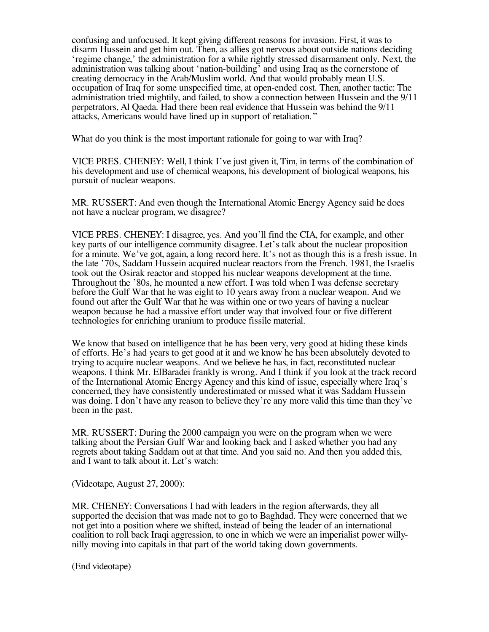confusing and unfocused. It kept giving different reasons for invasion. First, it was to disarm Hussein and get him out. Then, as allies got nervous about outside nations deciding 'regime change,' the administration for a while rightly stressed disarmament only. Next, the administration was talking about 'nation-building' and using Iraq as the cornerstone of creating democracy in the Arab/Muslim world. And that would probably mean U.S. occupation of Iraq for some unspecified time, at open-ended cost. Then, another tactic: The administration tried mightily, and failed, to show a connection between Hussein and the 9/11 perpetrators, Al Qaeda. Had there been real evidence that Hussein was behind the 9/11 attacks, Americans would have lined up in support of retaliation."

What do you think is the most important rationale for going to war with Iraq?

VICE PRES. CHENEY: Well, I think I've just given it, Tim, in terms of the combination of his development and use of chemical weapons, his development of biological weapons, his pursuit of nuclear weapons.

MR. RUSSERT: And even though the International Atomic Energy Agency said he does not have a nuclear program, we disagree?

VICE PRES. CHENEY: I disagree, yes. And you'll find the CIA, for example, and other key parts of our intelligence community disagree. Let's talk about the nuclear proposition for a minute. We've got, again, a long record here. It's not as though this is a fresh issue. In the late '70s, Saddam Hussein acquired nuclear reactors from the French. 1981, the Israelis took out the Osirak reactor and stopped his nuclear weapons development at the time. Throughout the '80s, he mounted a new effort. I was told when I was defense secretary before the Gulf War that he was eight to 10 years away from a nuclear weapon. And we found out after the Gulf War that he was within one or two years of having a nuclear weapon because he had a massive effort under way that involved four or five different technologies for enriching uranium to produce fissile material.

We know that based on intelligence that he has been very, very good at hiding these kinds of efforts. He's had years to get good at it and we know he has been absolutely devoted to trying to acquire nuclear weapons. And we believe he has, in fact, reconstituted nuclear weapons. I think Mr. ElBaradei frankly is wrong. And I think if you look at the track record of the International Atomic Energy Agency and this kind of issue, especially where Iraq's concerned, they have consistently underestimated or missed what it was Saddam Hussein was doing. I don't have any reason to believe they're any more valid this time than they've been in the past.

MR. RUSSERT: During the 2000 campaign you were on the program when we were talking about the Persian Gulf War and looking back and I asked whether you had any regrets about taking Saddam out at that time. And you said no. And then you added this, and I want to talk about it. Let's watch:

(Videotape, August 27, 2000):

MR. CHENEY: Conversations I had with leaders in the region afterwards, they all supported the decision that was made not to go to Baghdad. They were concerned that we not get into a position where we shifted, instead of being the leader of an international coalition to roll back Iraqi aggression, to one in which we were an imperialist power willy- nilly moving into capitals in that part of the world taking down governments.

(End videotape)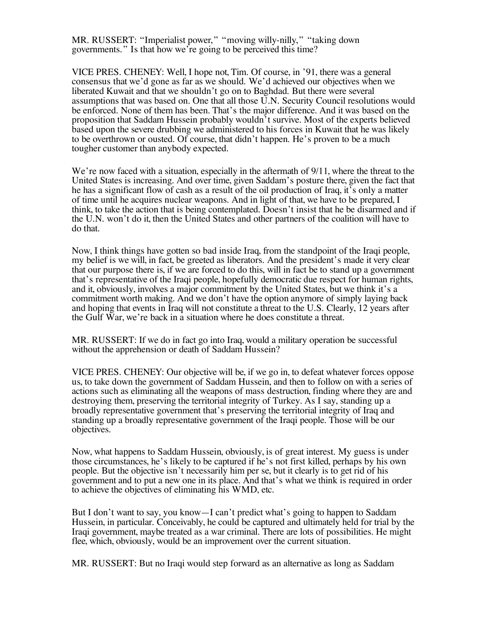MR. RUSSERT: "Imperialist power," "moving willy-nilly," "taking down governments." Is that how we're going to be perceived this time?

VICE PRES. CHENEY: Well, I hope not, Tim. Of course, in '91, there was a general consensus that we'd gone as far as we should. We'd achieved our objectives when we liberated Kuwait and that we shouldn't go on to Baghdad. But there were several assumptions that was based on. One that all those U.N. Security Council resolutions would be enforced. None of them has been. That's the major difference. And it was based on the proposition that Saddam Hussein probably wouldn't survive. Most of the experts believed based upon the severe drubbing we administered to his forces in Kuwait that he was likely to be overthrown or ousted. Of course, that didn't happen. He's proven to be a much tougher customer than anybody expected.

We're now faced with a situation, especially in the aftermath of  $9/11$ , where the threat to the United States is increasing. And over time, given Saddam's posture there, given the fact that he has a significant flow of cash as a result of the oil production of Iraq, it's only a matter of time until he acquires nuclear weapons. And in light of that, we have to be prepared, I think, to take the action that is being contemplated. Doesn't insist that he be disarmed and if the U.N. won't do it, then the United States and other partners of the coalition will have to do that.

Now, I think things have gotten so bad inside Iraq, from the standpoint of the Iraqi people, my belief is we will, in fact, be greeted as liberators. And the president's made it very clear that our purpose there is, if we are forced to do this, will in fact be to stand up a government that's representative of the Iraqi people, hopefully democratic due respect for human rights, and it, obviously, involves a major commitment by the United States, but we think it's a commitment worth making. And we don't have the option anymore of simply laying back and hoping that events in Iraq will not constitute a threat to the U.S. Clearly, 12 years after the Gulf War, we're back in a situation where he does constitute a threat.

MR. RUSSERT: If we do in fact go into Iraq, would a military operation be successful without the apprehension or death of Saddam Hussein?

VICE PRES. CHENEY: Our objective will be, if we go in, to defeat whatever forces oppose us, to take down the government of Saddam Hussein, and then to follow on with a series of actions such as eliminating all the weapons of mass destruction, finding where they are and destroying them, preserving the territorial integrity of Turkey. As I say, standing up a broadly representative government that's preserving the territorial integrity of Iraq and standing up a broadly representative government of the Iraqi people. Those will be our objectives.

Now, what happens to Saddam Hussein, obviously, is of great interest. My guess is under those circumstances, he's likely to be captured if he's not first killed, perhaps by his own people. But the objective isn't necessarily him per se, but it clearly is to get rid of his government and to put a new one in its place. And that's what we think is required in order to achieve the objectives of eliminating his WMD, etc.

But I don't want to say, you know—I can't predict what's going to happen to Saddam Hussein, in particular. Conceivably, he could be captured and ultimately held for trial by the Iraqi government, maybe treated as a war criminal. There are lots of possibilities. He might flee, which, obviously, would be an improvement over the current situation.

MR. RUSSERT: But no Iraqi would step forward as an alternative as long as Saddam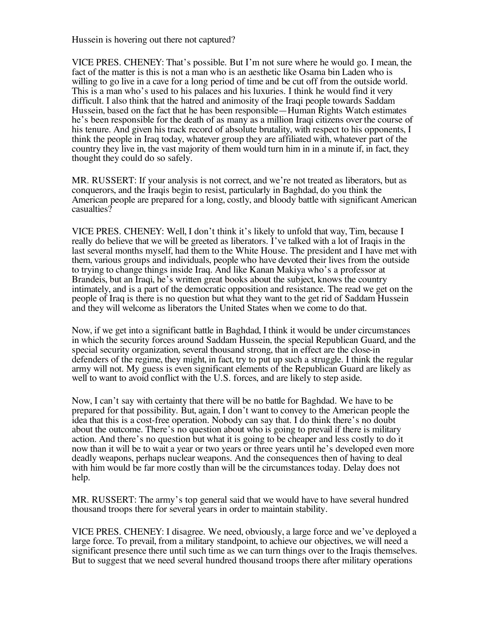Hussein is hovering out there not captured?

VICE PRES. CHENEY: That's possible. But I'm not sure where he would go. I mean, the fact of the matter is this is not a man who is an aesthetic like Osama bin Laden who is willing to go live in a cave for a long period of time and be cut off from the outside world. This is a man who's used to his palaces and his luxuries. I think he would find it very difficult. I also think that the hatred and animosity of the Iraqi people towards Saddam Hussein, based on the fact that he has been responsible—Human Rights Watch estimates he's been responsible for the death of as many as a million Iraqi citizens over the course of his tenure. And given his track record of absolute brutality, with respect to his opponents, I think the people in Iraq today, whatever group they are affiliated with, whatever part of the country they live in, the vast majority of them would turn him in in a minute if, in fact, they thought they could do so safely.

MR. RUSSERT: If your analysis is not correct, and we're not treated as liberators, but as conquerors, and the Iraqis begin to resist, particularly in Baghdad, do you think the American people are prepared for a long, costly, and bloody battle with significant American casualties?

VICE PRES. CHENEY: Well, I don't think it's likely to unfold that way, Tim, because I really do believe that we will be greeted as liberators. I've talked with a lot of Iraqis in the last several months myself, had them to the White House. The president and I have met with them, various groups and individuals, people who have devoted their lives from the outside to trying to change things inside Iraq. And like Kanan Makiya who's a professor at Brandeis, but an Iraqi, he's written great books about the subject, knows the country intimately, and is a part of the democratic opposition and resistance. The read we get on the people of Iraq is there is no question but what they want to the get rid of Saddam Hussein and they will welcome as liberators the United States when we come to do that.

Now, if we get into a significant battle in Baghdad, I think it would be under circumstances in which the security forces around Saddam Hussein, the special Republican Guard, and the special security organization, several thousand strong, that in effect are the close-in defenders of the regime, they might, in fact, try to put up such a struggle. I think the regular army will not. My guess is even significant elements of the Republican Guard are likely as well to want to avoid conflict with the U.S. forces, and are likely to step aside.

Now, I can't say with certainty that there will be no battle for Baghdad. We have to be prepared for that possibility. But, again, I don't want to convey to the American people the idea that this is a cost-free operation. Nobody can say that. I do think there's no doubt about the outcome. There's no question about who is going to prevail if there is military action. And there's no question but what it is going to be cheaper and less costly to do it now than it will be to wait a year or two years or three years until he's developed even more deadly weapons, perhaps nuclear weapons. And the consequences then of having to deal with him would be far more costly than will be the circumstances today. Delay does not help.

MR. RUSSERT: The army's top general said that we would have to have several hundred thousand troops there for several years in order to maintain stability.

VICE PRES. CHENEY: I disagree. We need, obviously, a large force and we've deployed a large force. To prevail, from a military standpoint, to achieve our objectives, we will need a significant presence there until such time as we can turn things over to the Iraqis themselves. But to suggest that we need several hundred thousand troops there after military operations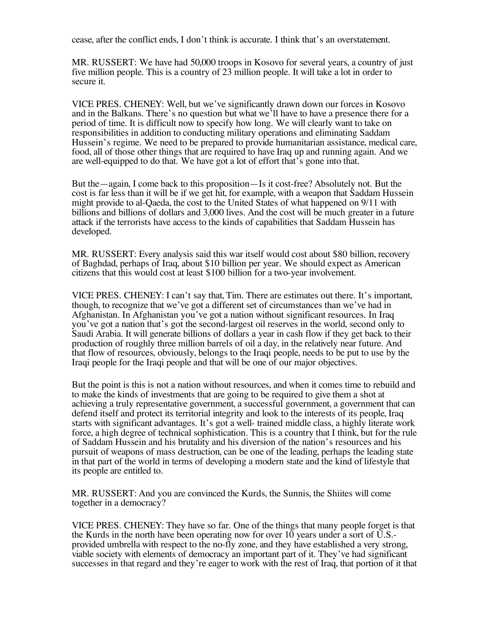cease, after the conflict ends, I don't think is accurate. I think that's an overstatement.

MR. RUSSERT: We have had 50,000 troops in Kosovo for several years, a country of just five million people. This is a country of 23 million people. It will take a lot in order to secure it.

VICE PRES. CHENEY: Well, but we've significantly drawn down our forces in Kosovo and in the Balkans. There's no question but what we'll have to have a presence there for a period of time. It is difficult now to specify how long. We will clearly want to take on responsibilities in addition to conducting military operations and eliminating Saddam Hussein's regime. We need to be prepared to provide humanitarian assistance, medical care, food, all of those other things that are required to have Iraq up and running again. And we are well-equipped to do that. We have got a lot of effort that's gone into that.

But the—again, I come back to this proposition—Is it cost-free? Absolutely not. But the cost is far less than it will be if we get hit, for example, with a weapon that Saddam Hussein might provide to al-Qaeda, the cost to the United States of what happened on 9/11 with billions and billions of dollars and 3,000 lives. And the cost will be much greater in a future attack if the terrorists have access to the kinds of capabilities that Saddam Hussein has developed.

MR. RUSSERT: Every analysis said this war itself would cost about \$80 billion, recovery of Baghdad, perhaps of Iraq, about \$10 billion per year. We should expect as American citizens that this would cost at least \$100 billion for a two-year involvement.

VICE PRES. CHENEY: I can't say that, Tim. There are estimates out there. It's important, though, to recognize that we've got a different set of circumstances than we've had in Afghanistan. In Afghanistan you've got a nation without significant resources. In Iraq you've got a nation that's got the second-largest oil reserves in the world, second only to Saudi Arabia. It will generate billions of dollars a year in cash flow if they get back to their production of roughly three million barrels of oil a day, in the relatively near future. And that flow of resources, obviously, belongs to the Iraqi people, needs to be put to use by the Iraqi people for the Iraqi people and that will be one of our major objectives.

But the point is this is not a nation without resources, and when it comes time to rebuild and to make the kinds of investments that are going to be required to give them a shot at achieving a truly representative government, a successful government, a government that can defend itself and protect its territorial integrity and look to the interests of its people, Iraq starts with significant advantages. It's got a well- trained middle class, a highly literate work force, a high degree of technical sophistication. This is a country that I think, but for the rule of Saddam Hussein and his brutality and his diversion of the nation's resources and his pursuit of weapons of mass destruction, can be one of the leading, perhaps the leading state in that part of the world in terms of developing a modern state and the kind of lifestyle that its people are entitled to.

MR. RUSSERT: And you are convinced the Kurds, the Sunnis, the Shiites will come together in a democracy?

VICE PRES. CHENEY: They have so far. One of the things that many people forget is that the Kurds in the north have been operating now for over 10 years under a sort of  $\overline{U}$ .S.provided umbrella with respect to the no-fly zone, and they have established a very strong, viable society with elements of democracy an important part of it. They've had significant successes in that regard and they're eager to work with the rest of Iraq, that portion of it that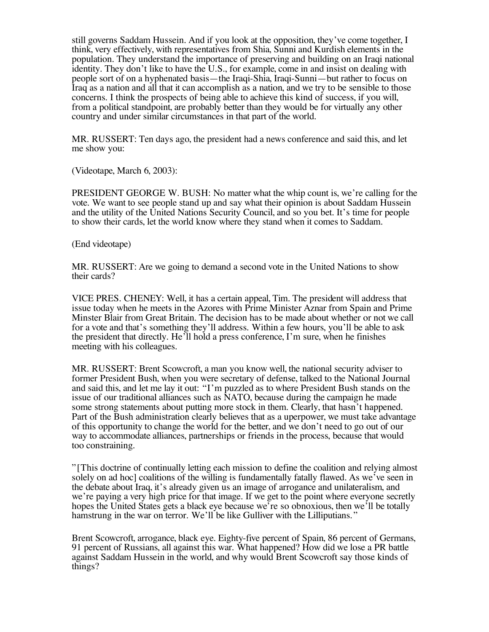still governs Saddam Hussein. And if you look at the opposition, they've come together, I think, very effectively, with representatives from Shia, Sunni and Kurdish elements in the population. They understand the importance of preserving and building on an Iraqi national identity. They don't like to have the U.S., for example, come in and insist on dealing with people sort of on a hyphenated basis—the Iraqi-Shia, Iraqi-Sunni—but rather to focus on Iraq as a nation and all that it can accomplish as a nation, and we try to be sensible to those concerns. I think the prospects of being able to achieve this kind of success, if you will, from a political standpoint, are probably better than they would be for virtually any other country and under similar circumstances in that part of the world.

MR. RUSSERT: Ten days ago, the president had a news conference and said this, and let me show you:

(Videotape, March 6, 2003):

PRESIDENT GEORGE W. BUSH: No matter what the whip count is, we're calling for the vote. We want to see people stand up and say what their opinion is about Saddam Hussein and the utility of the United Nations Security Council, and so you bet. It's time for people to show their cards, let the world know where they stand when it comes to Saddam.

(End videotape)

MR. RUSSERT: Are we going to demand a second vote in the United Nations to show their cards?

VICE PRES. CHENEY: Well, it has a certain appeal, Tim. The president will address that issue today when he meets in the Azores with Prime Minister Aznar from Spain and Prime Minster Blair from Great Britain. The decision has to be made about whether or not we call for a vote and that's something they'll address. Within a few hours, you'll be able to ask the president that directly. He'll hold a press conference, I'm sure, when he finishes meeting with his colleagues.

MR. RUSSERT: Brent Scowcroft, a man you know well, the national security adviser to former President Bush, when you were secretary of defense, talked to the National Journal and said this, and let me lay it out: "I'm puzzled as to where President Bush stands on the issue of our traditional alliances such as NATO, because during the campaign he made some strong statements about putting more stock in them. Clearly, that hasn't happened. Part of the Bush administration clearly believes that as a uperpower, we must take advantage of this opportunity to change the world for the better, and we don't need to go out of our way to accommodate alliances, partnerships or friends in the process, because that would too constraining.

"[This doctrine of continually letting each mission to define the coalition and relying almost solely on ad hoc] coalitions of the willing is fundamentally fatally flawed. As we've seen in the debate about Iraq, it's already given us an image of arrogance and unilateralism, and we're paying a very high price for that image. If we get to the point where everyone secretly hopes the United States gets a black eye because we're so obnoxious, then we'll be totally hamstrung in the war on terror. We'll be like Gulliver with the Lilliputians."

Brent Scowcroft, arrogance, black eye. Eighty-five percent of Spain, 86 percent of Germans, 91 percent of Russians, all against this war. What happened? How did we lose a PR battle against Saddam Hussein in the world, and why would Brent Scowcroft say those kinds of things?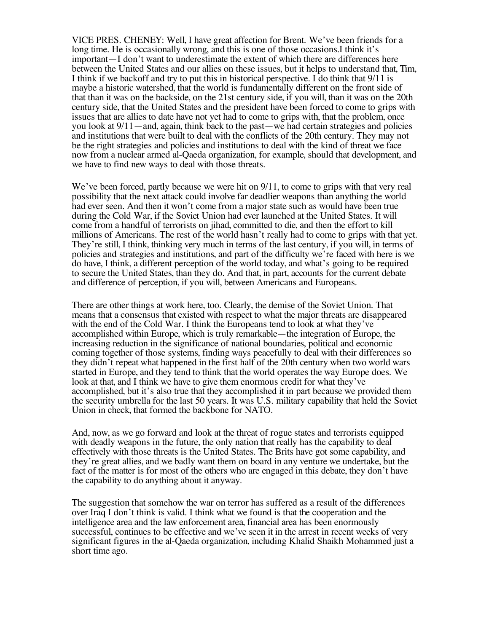VICE PRES. CHENEY: Well, I have great affection for Brent. We've been friends for a long time. He is occasionally wrong, and this is one of those occasions.I think it's important—I don't want to underestimate the extent of which there are differences here between the United States and our allies on these issues, but it helps to understand that, Tim, I think if we backoff and try to put this in historical perspective. I do think that 9/11 is maybe a historic watershed, that the world is fundamentally different on the front side of that than it was on the backside, on the 21st century side, if you will, than it was on the 20th century side, that the United States and the president have been forced to come to grips with issues that are allies to date have not yet had to come to grips with, that the problem, once you look at 9/11—and, again, think back to the past—we had certain strategies and policies and institutions that were built to deal with the conflicts of the 20th century. They may not be the right strategies and policies and institutions to deal with the kind of threat we face now from a nuclear armed al-Qaeda organization, for example, should that development, and we have to find new ways to deal with those threats.

We've been forced, partly because we were hit on  $9/11$ , to come to grips with that very real possibility that the next attack could involve far deadlier weapons than anything the world had ever seen. And then it won't come from a major state such as would have been true during the Cold War, if the Soviet Union had ever launched at the United States. It will come from a handful of terrorists on jihad, committed to die, and then the effort to kill millions of Americans. The rest of the world hasn't really had to come to grips with that yet. They're still, I think, thinking very much in terms of the last century, if you will, in terms of policies and strategies and institutions, and part of the difficulty we're faced with here is we do have, I think, a different perception of the world today, and what's going to be required to secure the United States, than they do. And that, in part, accounts for the current debate and difference of perception, if you will, between Americans and Europeans.

There are other things at work here, too. Clearly, the demise of the Soviet Union. That means that a consensus that existed with respect to what the major threats are disappeared with the end of the Cold War. I think the Europeans tend to look at what they've accomplished within Europe, which is truly remarkable—the integration of Europe, the increasing reduction in the significance of national boundaries, political and economic coming together of those systems, finding ways peacefully to deal with their differences so they didn't repeat what happened in the first half of the 20th century when two world wars started in Europe, and they tend to think that the world operates the way Europe does. We look at that, and I think we have to give them enormous credit for what they've accomplished, but it's also true that they accomplished it in part because we provided them the security umbrella for the last 50 years. It was U.S. military capability that held the Soviet Union in check, that formed the backbone for NATO.

And, now, as we go forward and look at the threat of rogue states and terrorists equipped with deadly weapons in the future, the only nation that really has the capability to deal effectively with those threats is the United States. The Brits have got some capability, and they're great allies, and we badly want them on board in any venture we undertake, but the fact of the matter is for most of the others who are engaged in this debate, they don't have the capability to do anything about it anyway.

The suggestion that somehow the war on terror has suffered as a result of the differences over Iraq I don't think is valid. I think what we found is that the cooperation and the intelligence area and the law enforcement area, financial area has been enormously successful, continues to be effective and we've seen it in the arrest in recent weeks of very significant figures in the al-Qaeda organization, including Khalid Shaikh Mohammed just a short time ago.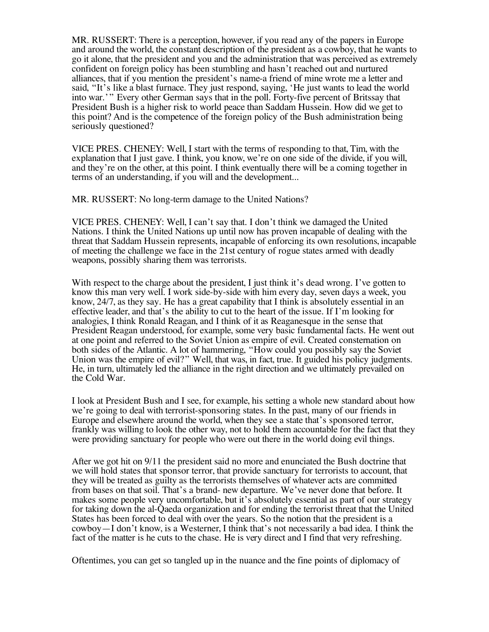MR. RUSSERT: There is a perception, however, if you read any of the papers in Europe and around the world, the constant description of the president as a cowboy, that he wants to go it alone, that the president and you and the administration that was perceived as extremely confident on foreign policy has been stumbling and hasn't reached out and nurtured alliances, that if you mention the president's name-a friend of mine wrote me a letter and said, "It's like a blast furnace. They just respond, saying, 'He just wants to lead the world into war.' " Every other German says that in the poll. Forty-five percent of Britssay that President Bush is a higher risk to world peace than Saddam Hussein. How did we get to this point? And is the competence of the foreign policy of the Bush administration being seriously questioned?

VICE PRES. CHENEY: Well, I start with the terms of responding to that, Tim, with the explanation that I just gave. I think, you know, we're on one side of the divide, if you will, and they're on the other, at this point. I think eventually there will be a coming together in terms of an understanding, if you will and the development...

MR. RUSSERT: No long-term damage to the United Nations?

VICE PRES. CHENEY: Well, I can't say that. I don't think we damaged the United Nations. I think the United Nations up until now has proven incapable of dealing with the threat that Saddam Hussein represents, incapable of enforcing its own resolutions, incapable of meeting the challenge we face in the 21st century of rogue states armed with deadly weapons, possibly sharing them was terrorists.

With respect to the charge about the president, I just think it's dead wrong. I've gotten to know this man very well. I work side-by-side with him every day, seven days a week, you know, 24/7, as they say. He has a great capability that I think is absolutely essential in an effective leader, and that's the ability to cut to the heart of the issue. If I'm looking for analogies, I think Ronald Reagan, and I think of it as Reaganesque in the sense that President Reagan understood, for example, some very basic fundamental facts. He went out at one point and referred to the Soviet Union as empire of evil. Created consternation on both sides of the Atlantic. A lot of hammering, "How could you possibly say the Soviet Union was the empire of evil?" Well, that was, in fact, true. It guided his policy judgments. He, in turn, ultimately led the alliance in the right direction and we ultimately prevailed on the Cold War.

I look at President Bush and I see, for example, his setting a whole new standard about how we're going to deal with terrorist-sponsoring states. In the past, many of our friends in Europe and elsewhere around the world, when they see a state that's sponsored terror, frankly was willing to look the other way, not to hold them accountable for the fact that they were providing sanctuary for people who were out there in the world doing evil things.

After we got hit on 9/11 the president said no more and enunciated the Bush doctrine that we will hold states that sponsor terror, that provide sanctuary for terrorists to account, that they will be treated as guilty as the terrorists themselves of whatever acts are committed from bases on that soil. That's a brand- new departure. We've never done that before. It makes some people very uncomfortable, but it's absolutely essential as part of our strategy for taking down the al-Qaeda organization and for ending the terrorist threat that the United States has been forced to deal with over the years. So the notion that the president is a cowboy—I don't know, is a Westerner, I think that's not necessarily a bad idea. I think the fact of the matter is he cuts to the chase. He is very direct and I find that very refreshing.

Oftentimes, you can get so tangled up in the nuance and the fine points of diplomacy of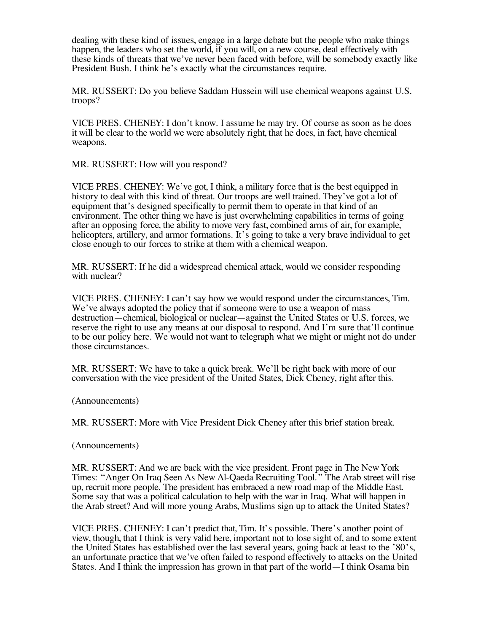dealing with these kind of issues, engage in a large debate but the people who make things happen, the leaders who set the world, if you will, on a new course, deal effectively with these kinds of threats that we've never been faced with before, will be somebody exactly like President Bush. I think he's exactly what the circumstances require.

MR. RUSSERT: Do you believe Saddam Hussein will use chemical weapons against U.S. troops?

VICE PRES. CHENEY: I don't know. I assume he may try. Of course as soon as he does it will be clear to the world we were absolutely right, that he does, in fact, have chemical weapons.

MR. RUSSERT: How will you respond?

VICE PRES. CHENEY: We've got, I think, a military force that is the best equipped in history to deal with this kind of threat. Our troops are well trained. They've got a lot of equipment that's designed specifically to permit them to operate in that kind of an environment. The other thing we have is just overwhelming capabilities in terms of going after an opposing force, the ability to move very fast, combined arms of air, for example, helicopters, artillery, and armor formations. It's going to take a very brave individual to get close enough to our forces to strike at them with a chemical weapon.

MR. RUSSERT: If he did a widespread chemical attack, would we consider responding with nuclear?

VICE PRES. CHENEY: I can't say how we would respond under the circumstances, Tim. We've always adopted the policy that if someone were to use a weapon of mass destruction—chemical, biological or nuclear—against the United States or U.S. forces, we reserve the right to use any means at our disposal to respond. And I'm sure that'll continue to be our policy here. We would not want to telegraph what we might or might not do under those circumstances.

MR. RUSSERT: We have to take a quick break. We'll be right back with more of our conversation with the vice president of the United States, Dick Cheney, right after this.

(Announcements)

MR. RUSSERT: More with Vice President Dick Cheney after this brief station break.

(Announcements)

MR. RUSSERT: And we are back with the vice president. Front page in The New York Times: "Anger On Iraq Seen As New Al-Qaeda Recruiting Tool." The Arab street will rise up, recruit more people. The president has embraced a new road map of the Middle East. Some say that was a political calculation to help with the war in Iraq. What will happen in the Arab street? And will more young Arabs, Muslims sign up to attack the United States?

VICE PRES. CHENEY: I can't predict that, Tim. It's possible. There's another point of view, though, that I think is very valid here, important not to lose sight of, and to some extent the United States has established over the last several years, going back at least to the '80's, an unfortunate practice that we've often failed to respond effectively to attacks on the United States. And I think the impression has grown in that part of the world—I think Osama bin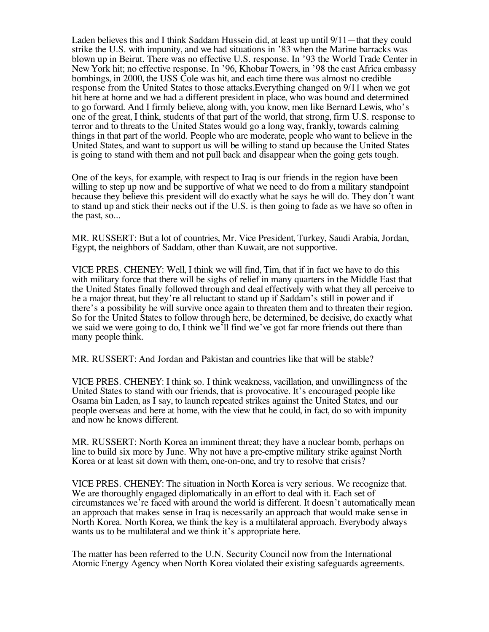Laden believes this and I think Saddam Hussein did, at least up until 9/11—that they could strike the U.S. with impunity, and we had situations in '83 when the Marine barracks was blown up in Beirut. There was no effective U.S. response. In '93 the World Trade Center in New York hit; no effective response. In '96, Khobar Towers, in '98 the east Africa embassy bombings, in 2000, the USS Cole was hit, and each time there was almost no credible response from the United States to those attacks.Everything changed on 9/11 when we got hit here at home and we had a different president in place, who was bound and determined to go forward. And I firmly believe, along with, you know, men like Bernard Lewis, who's one of the great, I think, students of that part of the world, that strong, firm U.S. response to terror and to threats to the United States would go a long way, frankly, towards calming things in that part of the world. People who are moderate, people who want to believe in the United States, and want to support us will be willing to stand up because the United States is going to stand with them and not pull back and disappear when the going gets tough.

One of the keys, for example, with respect to Iraq is our friends in the region have been willing to step up now and be supportive of what we need to do from a military standpoint because they believe this president will do exactly what he says he will do. They don't want to stand up and stick their necks out if the U.S. is then going to fade as we have so often in the past, so...

MR. RUSSERT: But a lot of countries, Mr. Vice President, Turkey, Saudi Arabia, Jordan, Egypt, the neighbors of Saddam, other than Kuwait, are not supportive.

VICE PRES. CHENEY: Well, I think we will find, Tim, that if in fact we have to do this with military force that there will be sighs of relief in many quarters in the Middle East that the United States finally followed through and deal effectively with what they all perceive to be a major threat, but they're all reluctant to stand up if Saddam's still in power and if there's a possibility he will survive once again to threaten them and to threaten their region. So for the United States to follow through here, be determined, be decisive, do exactly what we said we were going to do, I think we'll find we've got far more friends out there than many people think.

MR. RUSSERT: And Jordan and Pakistan and countries like that will be stable?

VICE PRES. CHENEY: I think so. I think weakness, vacillation, and unwillingness of the United States to stand with our friends, that is provocative. It's encouraged people like Osama bin Laden, as I say, to launch repeated strikes against the United States, and our people overseas and here at home, with the view that he could, in fact, do so with impunity and now he knows different.

MR. RUSSERT: North Korea an imminent threat; they have a nuclear bomb, perhaps on line to build six more by June. Why not have a pre-emptive military strike against North Korea or at least sit down with them, one-on-one, and try to resolve that crisis?

VICE PRES. CHENEY: The situation in North Korea is very serious. We recognize that. We are thoroughly engaged diplomatically in an effort to deal with it. Each set of circumstances we're faced with around the world is different. It doesn't automatically mean an approach that makes sense in Iraq is necessarily an approach that would make sense in North Korea. North Korea, we think the key is a multilateral approach. Everybody always wants us to be multilateral and we think it's appropriate here.

The matter has been referred to the U.N. Security Council now from the International Atomic Energy Agency when North Korea violated their existing safeguards agreements.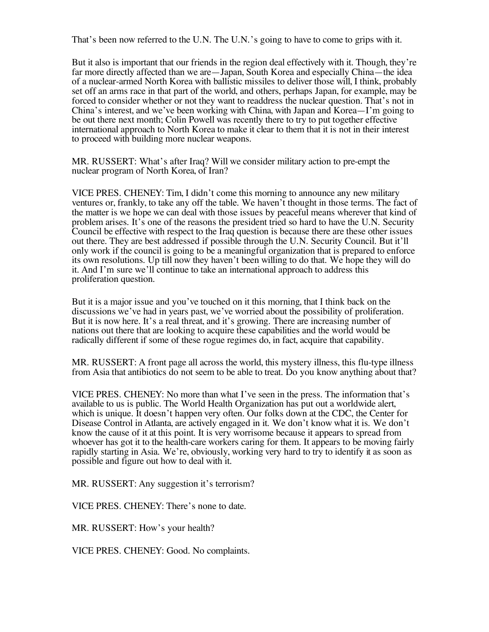That's been now referred to the U.N. The U.N.'s going to have to come to grips with it.

But it also is important that our friends in the region deal effectively with it. Though, they're far more directly affected than we are—Japan, South Korea and especially China—the idea of a nuclear-armed North Korea with ballistic missiles to deliver those will, I think, probably set off an arms race in that part of the world, and others, perhaps Japan, for example, may be forced to consider whether or not they want to readdress the nuclear question. That's not in China's interest, and we've been working with China, with Japan and Korea—I'm going to be out there next month; Colin Powell was recently there to try to put together effective international approach to North Korea to make it clear to them that it is not in their interest to proceed with building more nuclear weapons.

MR. RUSSERT: What's after Iraq? Will we consider military action to pre-empt the nuclear program of North Korea, of Iran?

VICE PRES. CHENEY: Tim, I didn't come this morning to announce any new military ventures or, frankly, to take any off the table. We haven't thought in those terms. The fact of the matter is we hope we can deal with those issues by peaceful means wherever that kind of problem arises. It's one of the reasons the president tried so hard to have the U.N. Security Council be effective with respect to the Iraq question is because there are these other issues out there. They are best addressed if possible through the U.N. Security Council. But it'll only work if the council is going to be a meaningful organization that is prepared to enforce its own resolutions. Up till now they haven't been willing to do that. We hope they will do it. And I'm sure we'll continue to take an international approach to address this proliferation question.

But it is a major issue and you've touched on it this morning, that I think back on the discussions we've had in years past, we've worried about the possibility of proliferation. But it is now here. It's a real threat, and it's growing. There are increasing number of nations out there that are looking to acquire these capabilities and the world would be radically different if some of these rogue regimes do, in fact, acquire that capability.

MR. RUSSERT: A front page all across the world, this mystery illness, this flu-type illness from Asia that antibiotics do not seem to be able to treat. Do you know anything about that?

VICE PRES. CHENEY: No more than what I've seen in the press. The information that's available to us is public. The World Health Organization has put out a worldwide alert, which is unique. It doesn't happen very often. Our folks down at the CDC, the Center for Disease Control in Atlanta, are actively engaged in it. We don't know what it is. We don't know the cause of it at this point. It is very worrisome because it appears to spread from whoever has got it to the health-care workers caring for them. It appears to be moving fairly rapidly starting in Asia. We're, obviously, working very hard to try to identify it as soon as possible and figure out how to deal with it.

MR. RUSSERT: Any suggestion it's terrorism?

VICE PRES. CHENEY: There's none to date.

MR. RUSSERT: How's your health?

VICE PRES. CHENEY: Good. No complaints.